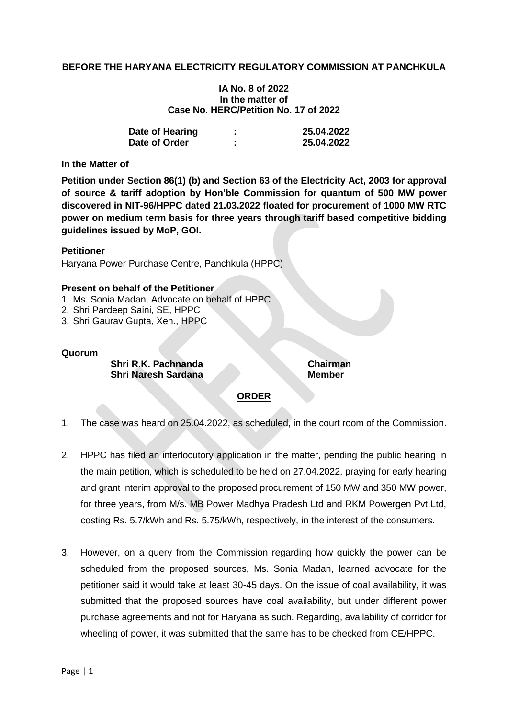## **BEFORE THE HARYANA ELECTRICITY REGULATORY COMMISSION AT PANCHKULA**

#### **IA No. 8 of 2022 In the matter of Case No. HERC/Petition No. 17 of 2022**

| Date of Hearing | ٠<br>п | 25.04.2022 |
|-----------------|--------|------------|
| Date of Order   |        | 25.04.2022 |

### **In the Matter of**

**Petition under Section 86(1) (b) and Section 63 of the Electricity Act, 2003 for approval of source & tariff adoption by Hon'ble Commission for quantum of 500 MW power discovered in NIT-96/HPPC dated 21.03.2022 floated for procurement of 1000 MW RTC power on medium term basis for three years through tariff based competitive bidding guidelines issued by MoP, GOI.**

#### **Petitioner**

Haryana Power Purchase Centre, Panchkula (HPPC)

#### **Present on behalf of the Petitioner**

- 1. Ms. Sonia Madan, Advocate on behalf of HPPC
- 2. Shri Pardeep Saini, SE, HPPC
- 3. Shri Gaurav Gupta, Xen., HPPC

#### **Quorum**

**Shri R.K. Pachnanda Chairman Shri Naresh Sardana Member** 

# **ORDER**

- 1. The case was heard on 25.04.2022, as scheduled, in the court room of the Commission.
- 2. HPPC has filed an interlocutory application in the matter, pending the public hearing in the main petition, which is scheduled to be held on 27.04.2022, praying for early hearing and grant interim approval to the proposed procurement of 150 MW and 350 MW power, for three years, from M/s. MB Power Madhya Pradesh Ltd and RKM Powergen Pvt Ltd, costing Rs. 5.7/kWh and Rs. 5.75/kWh, respectively, in the interest of the consumers.
- 3. However, on a query from the Commission regarding how quickly the power can be scheduled from the proposed sources, Ms. Sonia Madan, learned advocate for the petitioner said it would take at least 30-45 days. On the issue of coal availability, it was submitted that the proposed sources have coal availability, but under different power purchase agreements and not for Haryana as such. Regarding, availability of corridor for wheeling of power, it was submitted that the same has to be checked from CE/HPPC.